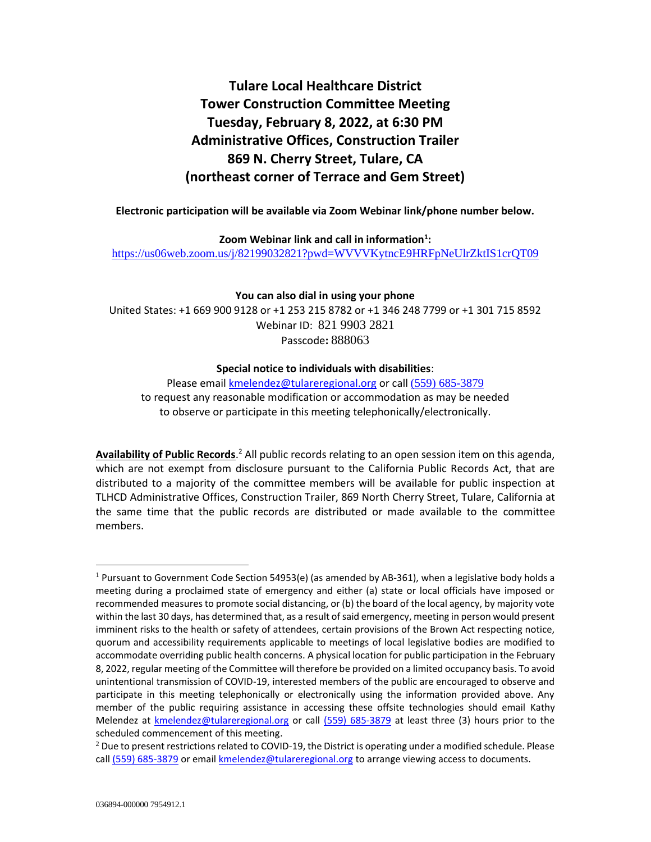# **Tulare Local Healthcare District Tower Construction Committee Meeting Tuesday, February 8, 2022, at 6:30 PM Administrative Offices, Construction Trailer 869 N. Cherry Street, Tulare, CA (northeast corner of Terrace and Gem Street)**

## **Electronic participation will be available via Zoom Webinar link/phone number below.**

**Zoom Webinar link and call in information<sup>1</sup> :** <https://us06web.zoom.us/j/82199032821?pwd=WVVVKytncE9HRFpNeUlrZktIS1crQT09>

**You can also dial in using your phone**

United States: +1 669 900 9128 or +1 253 215 8782 or +1 346 248 7799 or +1 301 715 8592 Webinar ID: 821 9903 2821 Passcode**:** 888063

# **Special notice to individuals with disabilities**:

Please email [kmelendez@tulareregional.org](mailto:kmelendez@tulareregional.org) or call (559) 685-3879 to request any reasonable modification or accommodation as may be needed to observe or participate in this meeting telephonically/electronically.

Availability of Public Records.<sup>2</sup> All public records relating to an open session item on this agenda, which are not exempt from disclosure pursuant to the California Public Records Act, that are distributed to a majority of the committee members will be available for public inspection at TLHCD Administrative Offices, Construction Trailer, 869 North Cherry Street, Tulare, California at the same time that the public records are distributed or made available to the committee members.

 $1$  Pursuant to Government Code Section 54953(e) (as amended by AB-361), when a legislative body holds a meeting during a proclaimed state of emergency and either (a) state or local officials have imposed or recommended measures to promote social distancing, or (b) the board of the local agency, by majority vote within the last 30 days, has determined that, as a result of said emergency, meeting in person would present imminent risks to the health or safety of attendees, certain provisions of the Brown Act respecting notice, quorum and accessibility requirements applicable to meetings of local legislative bodies are modified to accommodate overriding public health concerns. A physical location for public participation in the February 8, 2022, regular meeting of the Committee will therefore be provided on a limited occupancy basis. To avoid unintentional transmission of COVID-19, interested members of the public are encouraged to observe and participate in this meeting telephonically or electronically using the information provided above. Any member of the public requiring assistance in accessing these offsite technologies should email Kathy Melendez at [kmelendez@tulareregional.org](mailto:sormonde@tulareregional.org) or call (559) 685-3879 at least three (3) hours prior to the scheduled commencement of this meeting.

 $2$  Due to present restrictions related to COVID-19, the District is operating under a modified schedule. Please call (559) 685-3879 or email *kmelendez@tulareregional.org* to arrange viewing access to documents.